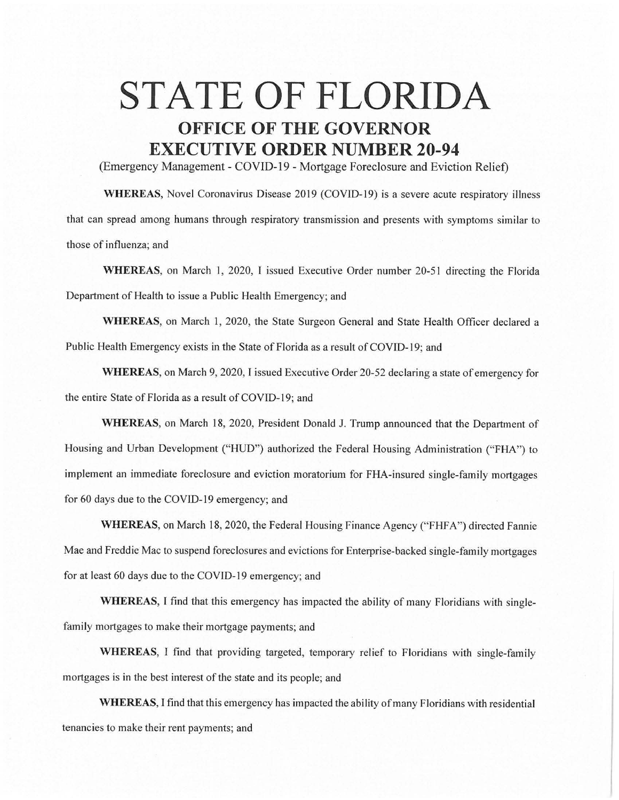## **STATE OF FLORIDA OFFICE OF THE GOVERNOR EXECUTIVE ORDER NUMBER 20-94**

(Emergency Management - COVID-19 - Mortgage Foreclosure and Eviction Relief)

**WHEREAS,** Novel Coronavirus Disease 2019 (COVJD-19) is a severe acute respiratory illness that can spread among humans through respiratory transmission and presents with symptoms similar to those of influenza; and

**WHEREAS,** on March 1, 2020, I issued Executive Order number 20-51 directing the Florida Department of Health to issue a Public Health Emergency; and

**WHEREAS,** on March 1, 2020, the State Surgeon General and State Health Officer declared a Public Health Emergency exists in the State of Florida as a result of COVID-19; and

**WHEREAS,** on March 9, 2020, I issued Executive Order 20-52 declaring a state of emergency for the entire State of Florida as a result of COVJD-19; and

**WHEREAS,** on March 18, 2020, President Donald J. Trump announced that the Department of Housing and Urban Development ("HUD") authorized the Federal Housing Administration ("FHA") to implement an immediate foreclosure and eviction moratorium for FHA-insured single-family mortgages for 60 days due to the COVID-19 emergency; and

WHEREAS, on March 18, 2020, the Federal Housing Finance Agency ("FHFA") directed Fannie Mae and Freddie Mac to suspend foreclosures and evictions for Enterprise-backed single-family mortgages for at least 60 days due to the COVID-19 emergency; and

WHEREAS, I find that this emergency has impacted the ability of many Floridians with singlefamily mortgages to make their mortgage payments; and

**WHEREAS,** I find that providing targeted, temporary relief to Floridians with single-family mortgages is in the best interest of the state and its people; and

**WHEREAS,** I find that this emergency has impacted the ability of many Floridians with residential tenancies to make their rent payments; and